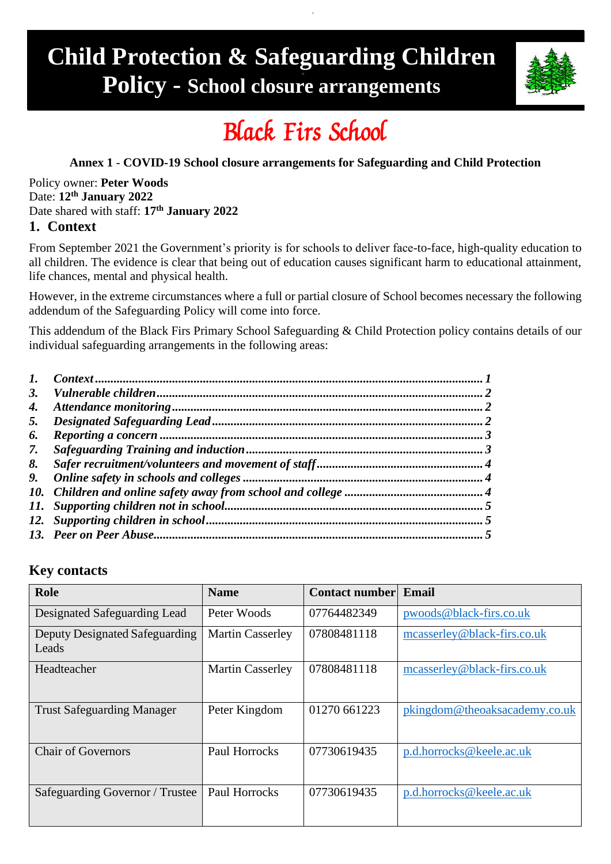## **Child Protection & Safeguarding Children Policy - School closure arrangements**



# Black Firs School

#### **Annex 1** - **COVID-19 School closure arrangements for Safeguarding and Child Protection**

#### Policy owner: **Peter Woods** Date: **12th January 2022** Date shared with staff: **17 th January 2022 1. Context**

<span id="page-0-0"></span>From September 2021 the Government's priority is for schools to deliver face-to-face, high-quality education to all children. The evidence is clear that being out of education causes significant harm to educational attainment, life chances, mental and physical health.

However, in the extreme circumstances where a full or partial closure of School becomes necessary the following addendum of the Safeguarding Policy will come into force.

This addendum of the Black Firs Primary School Safeguarding & Child Protection policy contains details of our individual safeguarding arrangements in the following areas:

| 4. |  |
|----|--|
| 5. |  |
| 6. |  |
| 7. |  |
| 8. |  |
| 9. |  |
|    |  |
|    |  |
|    |  |
|    |  |

#### **Key contacts**

| <b>Role</b>                             | <b>Name</b>             | <b>Contact number</b> | Email                         |
|-----------------------------------------|-------------------------|-----------------------|-------------------------------|
| Designated Safeguarding Lead            | Peter Woods             | 07764482349           | pwoods@black-firs.co.uk       |
| Deputy Designated Safeguarding<br>Leads | <b>Martin Casserley</b> | 07808481118           | mcasserley@black-firs.co.uk   |
| Headteacher                             | <b>Martin Casserley</b> | 07808481118           | measserley@black-firs.co.uk   |
| <b>Trust Safeguarding Manager</b>       | Peter Kingdom           | 01270 661223          | pkingdom@theoaksacademy.co.uk |
| <b>Chair of Governors</b>               | Paul Horrocks           | 07730619435           | p.d.horrocks@keele.ac.uk      |
| Safeguarding Governor / Trustee         | Paul Horrocks           | 07730619435           | p.d.horrocks@keele.ac.uk      |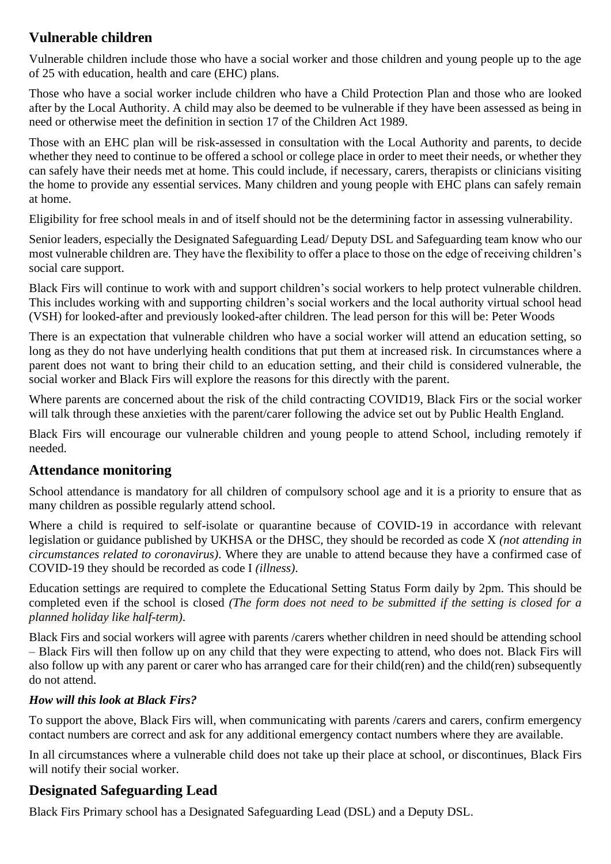## <span id="page-1-0"></span>**Vulnerable children**

Vulnerable children include those who have a social worker and those children and young people up to the age of 25 with education, health and care (EHC) plans.

Those who have a social worker include children who have a Child Protection Plan and those who are looked after by the Local Authority. A child may also be deemed to be vulnerable if they have been assessed as being in need or otherwise meet the definition in section 17 of the Children Act 1989.

Those with an EHC plan will be risk-assessed in consultation with the Local Authority and parents, to decide whether they need to continue to be offered a school or college place in order to meet their needs, or whether they can safely have their needs met at home. This could include, if necessary, carers, therapists or clinicians visiting the home to provide any essential services. Many children and young people with EHC plans can safely remain at home.

Eligibility for free school meals in and of itself should not be the determining factor in assessing vulnerability.

Senior leaders, especially the Designated Safeguarding Lead/ Deputy DSL and Safeguarding team know who our most vulnerable children are. They have the flexibility to offer a place to those on the edge of receiving children's social care support.

Black Firs will continue to work with and support children's social workers to help protect vulnerable children. This includes working with and supporting children's social workers and the local authority virtual school head (VSH) for looked-after and previously looked-after children. The lead person for this will be: Peter Woods

There is an expectation that vulnerable children who have a social worker will attend an education setting, so long as they do not have underlying health conditions that put them at increased risk. In circumstances where a parent does not want to bring their child to an education setting, and their child is considered vulnerable, the social worker and Black Firs will explore the reasons for this directly with the parent.

Where parents are concerned about the risk of the child contracting COVID19, Black Firs or the social worker will talk through these anxieties with the parent/carer following the advice set out by Public Health England.

Black Firs will encourage our vulnerable children and young people to attend School, including remotely if needed.

#### <span id="page-1-1"></span>**Attendance monitoring**

School attendance is mandatory for all children of compulsory school age and it is a priority to ensure that as many children as possible regularly attend school.

Where a child is required to self-isolate or quarantine because of COVID-19 in accordance with relevant legislation or guidance published by UKHSA or the DHSC, they should be recorded as code X *(not attending in circumstances related to coronavirus)*. Where they are unable to attend because they have a confirmed case of COVID-19 they should be recorded as code I *(illness)*.

Education settings are required to complete the Educational Setting Status Form daily by 2pm. This should be completed even if the school is closed *(The form does not need to be submitted if the setting is closed for a planned holiday like half-term)*.

Black Firs and social workers will agree with parents /carers whether children in need should be attending school – Black Firs will then follow up on any child that they were expecting to attend, who does not. Black Firs will also follow up with any parent or carer who has arranged care for their child(ren) and the child(ren) subsequently do not attend.

#### *How will this look at Black Firs?*

To support the above, Black Firs will, when communicating with parents /carers and carers, confirm emergency contact numbers are correct and ask for any additional emergency contact numbers where they are available.

In all circumstances where a vulnerable child does not take up their place at school, or discontinues, Black Firs will notify their social worker.

### <span id="page-1-2"></span>**Designated Safeguarding Lead**

Black Firs Primary school has a Designated Safeguarding Lead (DSL) and a Deputy DSL.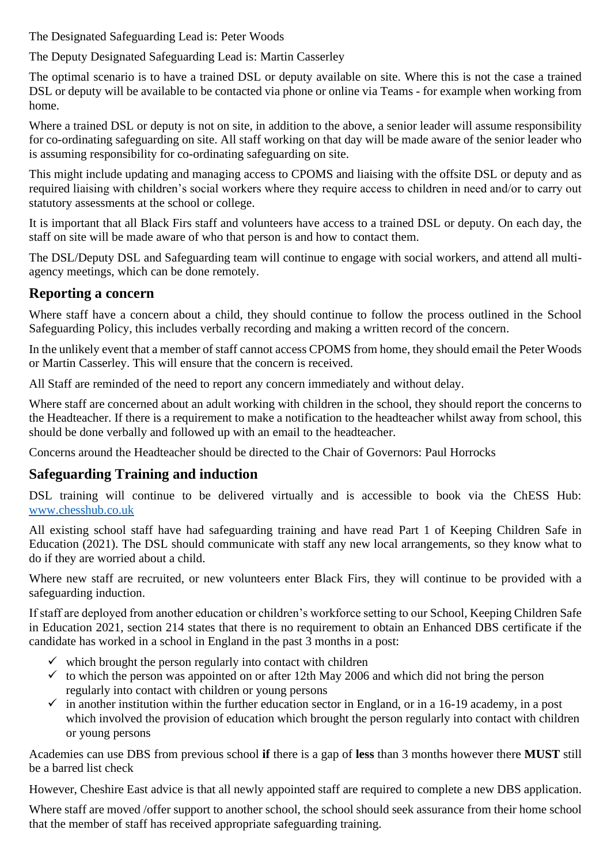The Designated Safeguarding Lead is: Peter Woods

The Deputy Designated Safeguarding Lead is: Martin Casserley

The optimal scenario is to have a trained DSL or deputy available on site. Where this is not the case a trained DSL or deputy will be available to be contacted via phone or online via Teams - for example when working from home.

Where a trained DSL or deputy is not on site, in addition to the above, a senior leader will assume responsibility for co-ordinating safeguarding on site. All staff working on that day will be made aware of the senior leader who is assuming responsibility for co-ordinating safeguarding on site.

This might include updating and managing access to CPOMS and liaising with the offsite DSL or deputy and as required liaising with children's social workers where they require access to children in need and/or to carry out statutory assessments at the school or college.

It is important that all Black Firs staff and volunteers have access to a trained DSL or deputy. On each day, the staff on site will be made aware of who that person is and how to contact them.

The DSL/Deputy DSL and Safeguarding team will continue to engage with social workers, and attend all multiagency meetings, which can be done remotely.

#### <span id="page-2-0"></span>**Reporting a concern**

Where staff have a concern about a child, they should continue to follow the process outlined in the School Safeguarding Policy, this includes verbally recording and making a written record of the concern.

In the unlikely event that a member of staff cannot access CPOMS from home, they should email the Peter Woods or Martin Casserley. This will ensure that the concern is received.

All Staff are reminded of the need to report any concern immediately and without delay.

Where staff are concerned about an adult working with children in the school, they should report the concerns to the Headteacher. If there is a requirement to make a notification to the headteacher whilst away from school, this should be done verbally and followed up with an email to the headteacher.

Concerns around the Headteacher should be directed to the Chair of Governors: Paul Horrocks

### <span id="page-2-1"></span>**Safeguarding Training and induction**

DSL training will continue to be delivered virtually and is accessible to book via the ChESS Hub: [www.chesshub.co.uk](http://www.chesshub.co.uk/)

All existing school staff have had safeguarding training and have read Part 1 of Keeping Children Safe in Education (2021). The DSL should communicate with staff any new local arrangements, so they know what to do if they are worried about a child.

Where new staff are recruited, or new volunteers enter Black Firs, they will continue to be provided with a safeguarding induction.

If staff are deployed from another education or children's workforce setting to our School, Keeping Children Safe in Education 2021, section 214 states that there is no requirement to obtain an Enhanced DBS certificate if the candidate has worked in a school in England in the past 3 months in a post:

- $\checkmark$  which brought the person regularly into contact with children
- $\checkmark$  to which the person was appointed on or after 12th May 2006 and which did not bring the person regularly into contact with children or young persons
- $\checkmark$  in another institution within the further education sector in England, or in a 16-19 academy, in a post which involved the provision of education which brought the person regularly into contact with children or young persons

Academies can use DBS from previous school **if** there is a gap of **less** than 3 months however there **MUST** still be a barred list check

However, Cheshire East advice is that all newly appointed staff are required to complete a new DBS application.

Where staff are moved /offer support to another school, the school should seek assurance from their home school that the member of staff has received appropriate safeguarding training.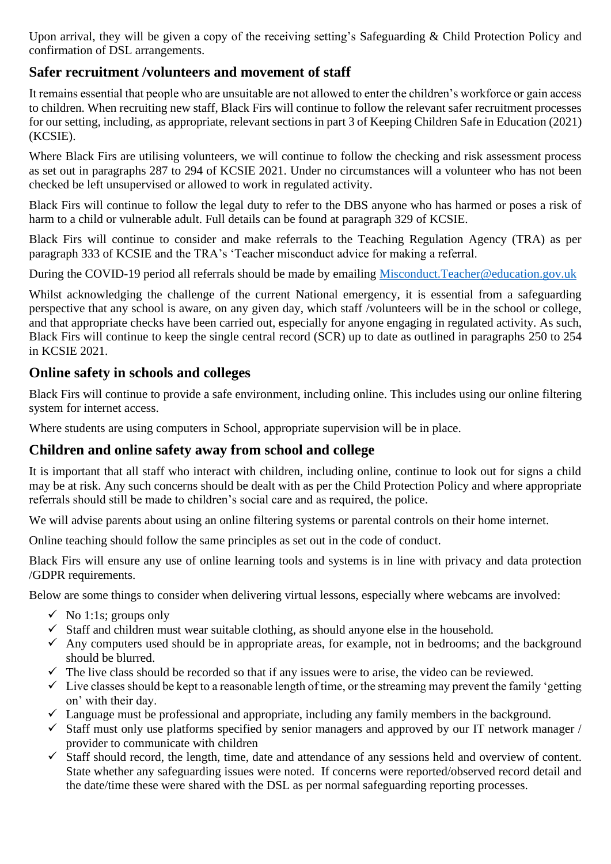Upon arrival, they will be given a copy of the receiving setting's Safeguarding & Child Protection Policy and confirmation of DSL arrangements.

### <span id="page-3-0"></span>**Safer recruitment /volunteers and movement of staff**

It remains essential that people who are unsuitable are not allowed to enter the children's workforce or gain access to children. When recruiting new staff, Black Firs will continue to follow the relevant safer recruitment processes for our setting, including, as appropriate, relevant sections in part 3 of Keeping Children Safe in Education (2021) (KCSIE).

Where Black Firs are utilising volunteers, we will continue to follow the checking and risk assessment process as set out in paragraphs 287 to 294 of KCSIE 2021. Under no circumstances will a volunteer who has not been checked be left unsupervised or allowed to work in regulated activity.

Black Firs will continue to follow the legal duty to refer to the DBS anyone who has harmed or poses a risk of harm to a child or vulnerable adult. Full details can be found at paragraph 329 of KCSIE.

Black Firs will continue to consider and make referrals to the Teaching Regulation Agency (TRA) as per paragraph 333 of KCSIE and the TRA's 'Teacher misconduct advice for making a referral.

During the COVID-19 period all referrals should be made by emailing [Misconduct.Teacher@education.gov.uk](mailto:Misconduct.Teacher@education.gov.uk)

Whilst acknowledging the challenge of the current National emergency, it is essential from a safeguarding perspective that any school is aware, on any given day, which staff /volunteers will be in the school or college, and that appropriate checks have been carried out, especially for anyone engaging in regulated activity. As such, Black Firs will continue to keep the single central record (SCR) up to date as outlined in paragraphs 250 to 254 in KCSIE 2021.

#### <span id="page-3-1"></span>**Online safety in schools and colleges**

Black Firs will continue to provide a safe environment, including online. This includes using our online filtering system for internet access.

Where students are using computers in School, appropriate supervision will be in place.

#### <span id="page-3-2"></span>**Children and online safety away from school and college**

It is important that all staff who interact with children, including online, continue to look out for signs a child may be at risk. Any such concerns should be dealt with as per the Child Protection Policy and where appropriate referrals should still be made to children's social care and as required, the police.

We will advise parents about using an online filtering systems or parental controls on their home internet.

Online teaching should follow the same principles as set out in the code of conduct.

Black Firs will ensure any use of online learning tools and systems is in line with privacy and data protection /GDPR requirements.

Below are some things to consider when delivering virtual lessons, especially where webcams are involved:

- $\checkmark$  No 1:1s; groups only
- $\checkmark$  Staff and children must wear suitable clothing, as should anyone else in the household.
- $\checkmark$  Any computers used should be in appropriate areas, for example, not in bedrooms; and the background should be blurred.
- $\checkmark$  The live class should be recorded so that if any issues were to arise, the video can be reviewed.
- $\checkmark$  Live classes should be kept to a reasonable length of time, or the streaming may prevent the family 'getting on' with their day.
- $\checkmark$  Language must be professional and appropriate, including any family members in the background.
- $\checkmark$  Staff must only use platforms specified by senior managers and approved by our IT network manager / provider to communicate with children
- $\checkmark$  Staff should record, the length, time, date and attendance of any sessions held and overview of content. State whether any safeguarding issues were noted. If concerns were reported/observed record detail and the date/time these were shared with the DSL as per normal safeguarding reporting processes.